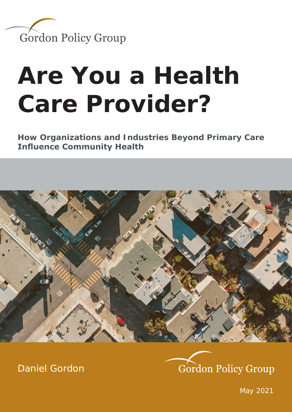

# **Are You a Health Care Provider?**

**How Organizations and Industries Beyond Primary Care Influence Community Health**



[Daniel Gordon](https://www.gordonpg.com/about/)



May 2021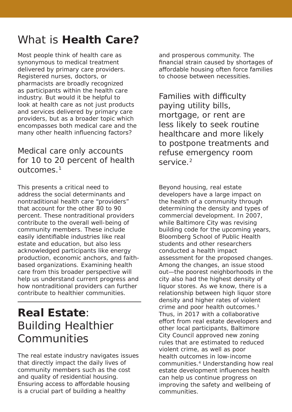#### What is **Health Care?**

Most people think of health care as synonymous to medical treatment delivered by primary care providers. Registered nurses, doctors, or pharmacists are broadly recognized as participants within the health care industry. But would it be helpful to look at health care as not just products and services delivered by primary care providers, but as a broader topic which encompasses both medical care and the many other health influencing factors?

#### Medical care only accounts for 10 to 20 percent of health outcomes<sup>1</sup>

This presents a critical need to address the social determinants and nontraditional health care "providers" that account for the other 80 to 90 percent. These nontraditional providers contribute to the overall well-being of community members. These include easily identifiable industries like real estate and education, but also less acknowledged participants like energy production, economic anchors, and faithbased organizations. Examining health care from this broader perspective will help us understand current progress and how nontraditional providers can further contribute to healthier communities.

#### **Real Estate**: Building Healthier Communities

The real estate industry navigates issues that directly impact the daily lives of community members such as the cost and quality of residential housing. Ensuring access to affordable housing is a crucial part of building a healthy

and prosperous community. The financial strain caused by shortages of affordable housing often force families to choose between necessities.

Families with difficulty paying utility bills, mortgage, or rent are less likely to seek routine healthcare and more likely to postpone treatments and refuse emergency room service.<sup>2</sup>

Beyond housing, real estate developers have a large impact on the health of a community through determining the density and types of commercial development. In 2007, while Baltimore City was revising building code for the upcoming years, Bloomberg School of Public Health students and other researchers conducted a health impact assessment for the proposed changes. Among the changes, an issue stood out—the poorest neighborhoods in the city also had the highest density of liquor stores. As we know, there is a relationship between high liquor store density and higher rates of violent crime and poor health outcomes.3 Thus, in 2017 with a collaborative effort from real estate developers and other local participants, Baltimore City Council approved new zoning rules that are estimated to reduced violent crime, as well as poor health outcomes in low-income communities.4 Understanding how real estate development influences health can help us continue progress on improving the safety and wellbeing of communities.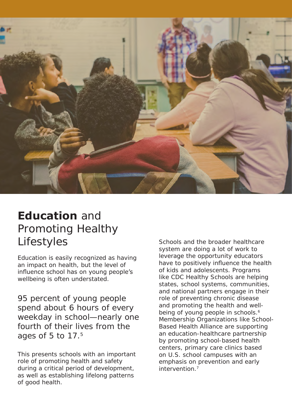

#### **Education** and Promoting Healthy Lifestyles

Education is easily recognized as having an impact on health, but the level of influence school has on young people's wellbeing is often understated.

95 percent of young people spend about 6 hours of every weekday in school—nearly one fourth of their lives from the ages of 5 to 17.5

This presents schools with an important role of promoting health and safety during a critical period of development, as well as establishing lifelong patterns of good health.

Schools and the broader healthcare system are doing a lot of work to leverage the opportunity educators have to positively influence the health of kids and adolescents. Programs like CDC Healthy Schools are helping states, school systems, communities, and national partners engage in their role of preventing chronic disease and promoting the health and wellbeing of young people in schools.<sup>6</sup> Membership Organizations like School-Based Health Alliance are supporting an education-healthcare partnership by promoting school-based health centers, primary care clinics based on U.S. school campuses with an emphasis on prevention and early intervention.7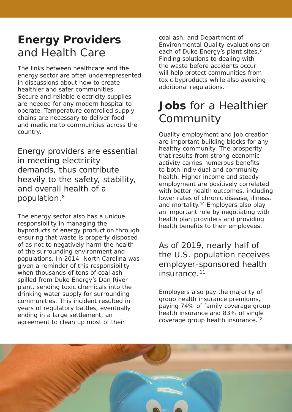## **Energy Providers**  and Health Care

The links between healthcare and the energy sector are often underrepresented in discussions about how to create healthier and safer communities. Secure and reliable electricity supplies are needed for any modern hospital to operate. Temperature controlled supply chains are necessary to deliver food and medicine to communities across the country.

Energy providers are essential in meeting electricity demands, thus contribute heavily to the safety, stability, and overall health of a population.8

The energy sector also has a unique responsibility in managing the byproducts of energy production through ensuring that waste is properly disposed of as not to negatively harm the health of the surrounding environment and populations. In 2014, North Carolina was given a reminder of this responsibility when thousands of tons of coal ash spilled from Duke Energy's Dan River plant, sending toxic chemicals into the drinking water supply for surrounding communities. This incident resulted in years of regulatory battles, eventually ending in a large settlement, an agreement to clean up most of their

coal ash, and Department of Environmental Quality evaluations on each of Duke Energy's plant sites.<sup>9</sup> Finding solutions to dealing with the waste before accidents occur will help protect communities from toxic byproducts while also avoiding additional regulations.

## **Jobs** for a Healthier **Community**

Quality employment and job creation are important building blocks for any healthy community. The prosperity that results from strong economic activity carries numerous benefits to both individual and community health. Higher income and steady employment are positively correlated with better health outcomes, including lower rates of chronic disease, illness, and mortality.<sup>10</sup> Employers also play an important role by negotiating with health plan providers and providing health benefits to their employees.

As of 2019, nearly half of the U.S. population receives employer-sponsored health insurance.<sup>11</sup>

Employers also pay the majority of group health insurance premiums, paying 74% of family coverage group health insurance and 83% of single coverage group health insurance.12

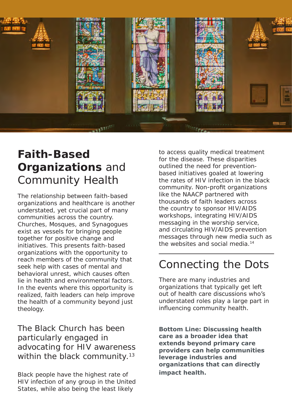

### **Faith-Based Organizations** and Community Health

The relationship between faith-based organizations and healthcare is another understated, yet crucial part of many communities across the country. Churches, Mosques, and Synagogues exist as vessels for bringing people together for positive change and initiatives. This presents faith-based organizations with the opportunity to reach members of the community that seek help with cases of mental and behavioral unrest, which causes often lie in health and environmental factors. In the events where this opportunity is realized, faith leaders can help improve the health of a community beyond just theology.

The Black Church has been particularly engaged in advocating for HIV awareness within the black community.<sup>13</sup>

Black people have the highest rate of HIV infection of any group in the United States, while also being the least likely

to access quality medical treatment for the disease. These disparities outlined the need for preventionbased initiatives goaled at lowering the rates of HIV infection in the black community. Non-profit organizations like the NAACP partnered with thousands of faith leaders across the country to sponsor HIV/AIDS workshops, integrating HIV/AIDS messaging in the worship service, and circulating HIV/AIDS prevention messages through new media such as the websites and social media.14

#### Connecting the Dots

There are many industries and organizations that typically get left out of health care discussions who's understated roles play a large part in influencing community health.

**Bottom Line: Discussing health care as a broader idea that extends beyond primary care providers can help communities leverage industries and organizations that can directly impact health.**